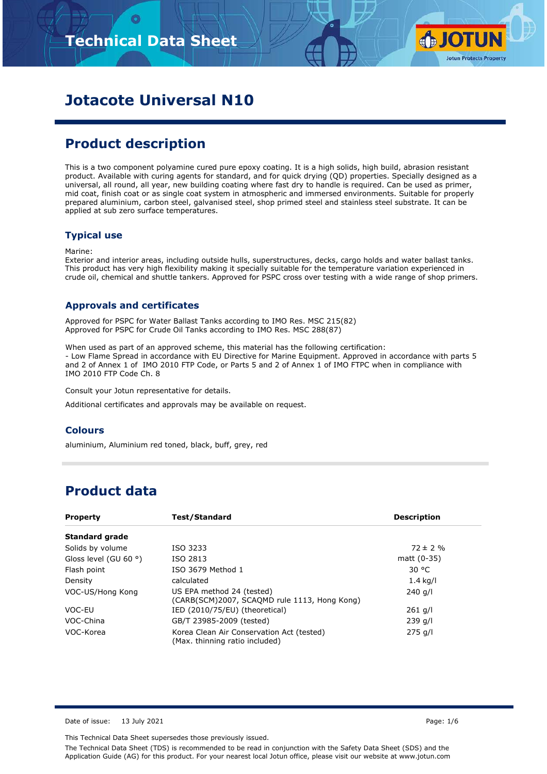

# **Jotacote Universal N10**

# **Product description**

This is a two component polyamine cured pure epoxy coating. It is a high solids, high build, abrasion resistant product. Available with curing agents for standard, and for quick drying (QD) properties. Specially designed as a universal, all round, all year, new building coating where fast dry to handle is required. Can be used as primer, mid coat, finish coat or as single coat system in atmospheric and immersed environments. Suitable for properly prepared aluminium, carbon steel, galvanised steel, shop primed steel and stainless steel substrate. It can be applied at sub zero surface temperatures.

### **Typical use**

Marine:

Exterior and interior areas, including outside hulls, superstructures, decks, cargo holds and water ballast tanks. This product has very high flexibility making it specially suitable for the temperature variation experienced in crude oil, chemical and shuttle tankers. Approved for PSPC cross over testing with a wide range of shop primers.

### **Approvals and certificates**

Approved for PSPC for Water Ballast Tanks according to IMO Res. MSC 215(82) Approved for PSPC for Crude Oil Tanks according to IMO Res. MSC 288(87)

When used as part of an approved scheme, this material has the following certification: - Low Flame Spread in accordance with EU Directive for Marine Equipment. Approved in accordance with parts 5 and 2 of Annex 1 of IMO 2010 FTP Code, or Parts 5 and 2 of Annex 1 of IMO FTPC when in compliance with IMO 2010 FTP Code Ch. 8

Consult your Jotun representative for details.

Additional certificates and approvals may be available on request.

### **Colours**

aluminium, Aluminium red toned, black, buff, grey, red

## **Product data**

| <b>Property</b>                                                                                            | Test/Standard                                                               | <b>Description</b> |
|------------------------------------------------------------------------------------------------------------|-----------------------------------------------------------------------------|--------------------|
| <b>Standard grade</b>                                                                                      |                                                                             |                    |
| Solids by volume                                                                                           | ISO 3233                                                                    | $72 \pm 2 \%$      |
| Gloss level (GU 60 $\degree$ )                                                                             | ISO 2813                                                                    | matt (0-35)        |
| Flash point                                                                                                | ISO 3679 Method 1                                                           | 30 °C              |
| Density                                                                                                    | calculated                                                                  | $1.4$ kg/l         |
| VOC-US/Hong Kong<br>US EPA method 24 (tested)<br>$240$ a/l<br>(CARB(SCM)2007, SCAQMD rule 1113, Hong Kong) |                                                                             |                    |
| VOC-EU                                                                                                     | IED (2010/75/EU) (theoretical)                                              | $261$ g/l          |
| VOC-China                                                                                                  | GB/T 23985-2009 (tested)                                                    | $239$ g/l          |
| VOC-Korea                                                                                                  | Korea Clean Air Conservation Act (tested)<br>(Max. thinning ratio included) | $275$ g/l          |

Date of issue: 13 July 2021 **Page: 1/6** 

This Technical Data Sheet supersedes those previously issued.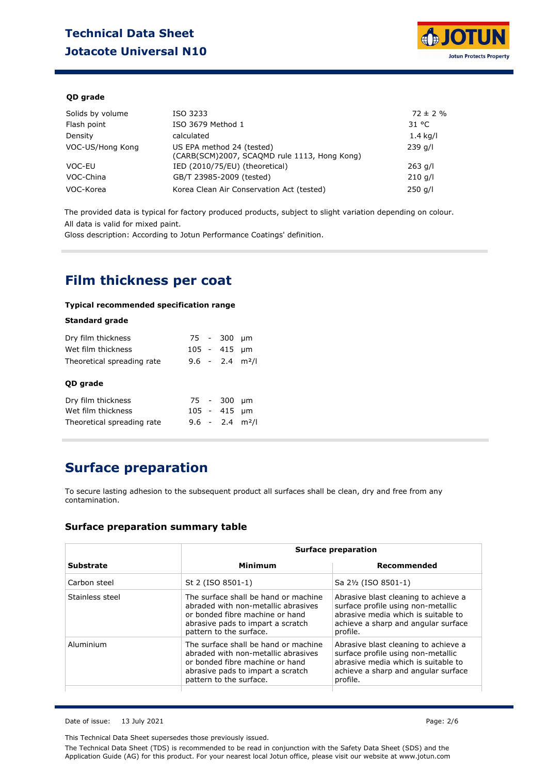# **Technical Data Sheet Jotacote Universal N10**



### **QD grade**

| Solids by volume | ISO 3233                                                                  | $72 \pm 2 \%$ |
|------------------|---------------------------------------------------------------------------|---------------|
| Flash point      | ISO 3679 Method 1                                                         | 31 °C         |
| Density          | calculated                                                                | $1.4$ kg/l    |
| VOC-US/Hong Kong | US EPA method 24 (tested)<br>(CARB(SCM)2007, SCAQMD rule 1113, Hong Kong) | $239$ g/l     |
| VOC-EU           | IED (2010/75/EU) (theoretical)                                            | $263$ g/l     |
| VOC-China        | GB/T 23985-2009 (tested)                                                  | $210$ g/l     |
| VOC-Korea        | Korea Clean Air Conservation Act (tested)                                 | $250$ g/l     |

The provided data is typical for factory produced products, subject to slight variation depending on colour. All data is valid for mixed paint.

Gloss description: According to Jotun Performance Coatings' definition.

### **Film thickness per coat**

#### **Typical recommended specification range**

### **Standard grade**

| Dry film thickness<br>Wet film thickness |  | 75 - 300<br>105 - 415         | um<br>µm |
|------------------------------------------|--|-------------------------------|----------|
| Theoretical spreading rate<br>QD grade   |  | $9.6 - 2.4$ m <sup>2</sup> /l |          |
| Dry film thickness<br>Wet film thickness |  | 75 - 300<br>$105 - 415$ µm    | um       |
| Theoretical spreading rate               |  | $9.6 - 2.4$ m <sup>2</sup> /l |          |

# **Surface preparation**

To secure lasting adhesion to the subsequent product all surfaces shall be clean, dry and free from any contamination.

### **Surface preparation summary table**

|                 | <b>Surface preparation</b>                                                                                                                                                     |                                                                                                                                                                      |  |  |
|-----------------|--------------------------------------------------------------------------------------------------------------------------------------------------------------------------------|----------------------------------------------------------------------------------------------------------------------------------------------------------------------|--|--|
| Substrate       | Minimum                                                                                                                                                                        | Recommended                                                                                                                                                          |  |  |
| Carbon steel    | St 2 (ISO 8501-1)                                                                                                                                                              | Sa 2½ (ISO 8501-1)                                                                                                                                                   |  |  |
| Stainless steel | The surface shall be hand or machine<br>abraded with non-metallic abrasives<br>or bonded fibre machine or hand<br>abrasive pads to impart a scratch<br>pattern to the surface. | Abrasive blast cleaning to achieve a<br>surface profile using non-metallic<br>abrasive media which is suitable to<br>achieve a sharp and angular surface<br>profile. |  |  |
| Aluminium       | The surface shall be hand or machine<br>abraded with non-metallic abrasives<br>or bonded fibre machine or hand<br>abrasive pads to impart a scratch<br>pattern to the surface. | Abrasive blast cleaning to achieve a<br>surface profile using non-metallic<br>abrasive media which is suitable to<br>achieve a sharp and angular surface<br>profile. |  |  |

Date of issue: 13 July 2021 **Page: 2/6** 

This Technical Data Sheet supersedes those previously issued.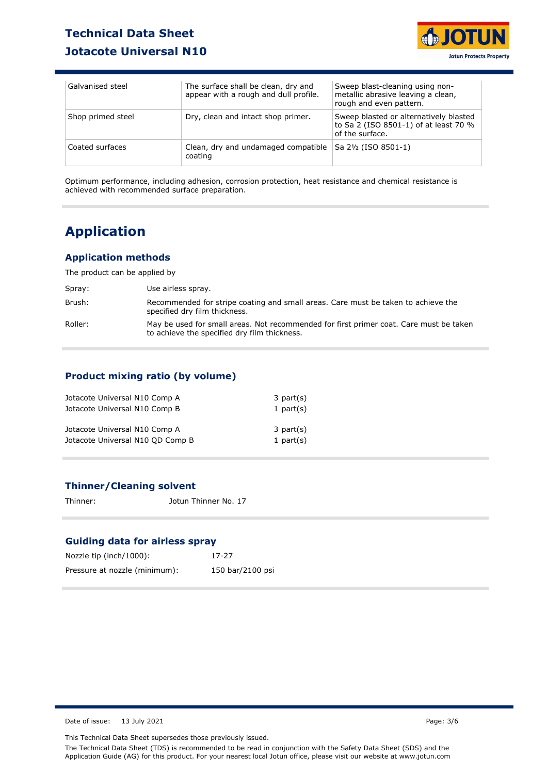# **Technical Data Sheet Jotacote Universal N10**



| Galvanised steel  | The surface shall be clean, dry and<br>appear with a rough and dull profile. | Sweep blast-cleaning using non-<br>metallic abrasive leaving a clean,<br>rough and even pattern.   |
|-------------------|------------------------------------------------------------------------------|----------------------------------------------------------------------------------------------------|
| Shop primed steel | Dry, clean and intact shop primer.                                           | Sweep blasted or alternatively blasted<br>to Sa 2 (ISO 8501-1) of at least 70 %<br>of the surface. |
| Coated surfaces   | Clean, dry and undamaged compatible<br>coating                               | Sa 21/2 (ISO 8501-1)                                                                               |

Optimum performance, including adhesion, corrosion protection, heat resistance and chemical resistance is achieved with recommended surface preparation.

# **Application**

### **Application methods**

The product can be applied by

| Spray:  | Use airless spray.                                                                                                                     |
|---------|----------------------------------------------------------------------------------------------------------------------------------------|
| Brush:  | Recommended for stripe coating and small areas. Care must be taken to achieve the<br>specified dry film thickness.                     |
| Roller: | May be used for small areas. Not recommended for first primer coat. Care must be taken<br>to achieve the specified dry film thickness. |

### **Product mixing ratio (by volume)**

| Jotacote Universal N10 Comp A    | $3$ part(s)    |
|----------------------------------|----------------|
| Jotacote Universal N10 Comp B    | 1 part $(s)$   |
| Jotacote Universal N10 Comp A    | $3$ part $(s)$ |
| Jotacote Universal N10 QD Comp B | 1 part $(s)$   |

### **Thinner/Cleaning solvent**

Thinner: Jotun Thinner No. 17

### **Guiding data for airless spray**

| Nozzle tip (inch/1000):       | 17-27            |
|-------------------------------|------------------|
| Pressure at nozzle (minimum): | 150 bar/2100 psi |

Date of issue: 13 July 2021 **Page: 3/6** 

This Technical Data Sheet supersedes those previously issued.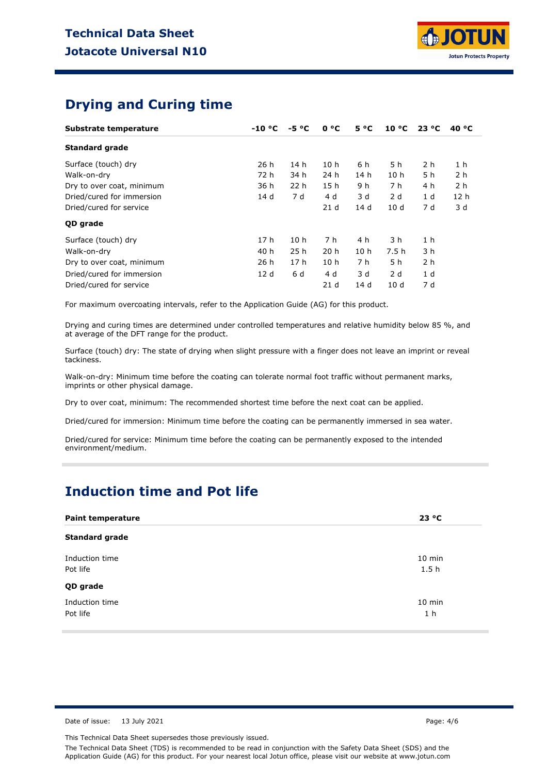

## **Drying and Curing time**

| Substrate temperature     | $-10 °C$ | $-5 °C$         | 0 °C            | $5^{\circ}C$    | 10 °C           | 23 °C          | 40 $^{\circ}$ C |
|---------------------------|----------|-----------------|-----------------|-----------------|-----------------|----------------|-----------------|
| <b>Standard grade</b>     |          |                 |                 |                 |                 |                |                 |
| Surface (touch) dry       | 26h      | 14 h            | 10 <sub>h</sub> | 6 h             | 5 h             | 2 h            | 1 <sub>h</sub>  |
| Walk-on-dry               | 72 h     | 34 h            | 24 h            | 14 <sub>h</sub> | 10 <sub>h</sub> | 5 h            | 2 <sub>h</sub>  |
| Dry to over coat, minimum | 36 h     | 22 <sub>h</sub> | 15 <sub>h</sub> | 9 h             | 7 h             | 4 h            | 2 <sub>h</sub>  |
| Dried/cured for immersion | 14 d     | 7 d             | 4 d             | 3 d             | 2 d             | 1 d            | 12 <sub>h</sub> |
| Dried/cured for service   |          |                 | 21 <sub>d</sub> | 14d             | 10d             | 7 d            | 3 d             |
| QD grade                  |          |                 |                 |                 |                 |                |                 |
| Surface (touch) dry       | 17 h     | 10 <sub>h</sub> | 7 h             | 4 h             | 3 h             | 1 <sub>h</sub> |                 |
| Walk-on-dry               | 40 h     | 25h             | 20 <sub>h</sub> | 10 <sub>h</sub> | 7.5 h           | 3 h            |                 |
| Dry to over coat, minimum | 26h      | 17 <sub>h</sub> | 10 <sub>h</sub> | 7 h             | 5 h             | 2 h            |                 |
| Dried/cured for immersion | 12d      | 6 d             | 4 d             | 3 d             | 2d              | 1 <sub>d</sub> |                 |
| Dried/cured for service   |          |                 | 21 <sub>d</sub> | 14d             | 10d             | 7 d            |                 |

For maximum overcoating intervals, refer to the Application Guide (AG) for this product.

Drying and curing times are determined under controlled temperatures and relative humidity below 85 %, and at average of the DFT range for the product.

Surface (touch) dry: The state of drying when slight pressure with a finger does not leave an imprint or reveal tackiness.

Walk-on-dry: Minimum time before the coating can tolerate normal foot traffic without permanent marks, imprints or other physical damage.

Dry to over coat, minimum: The recommended shortest time before the next coat can be applied.

Dried/cured for immersion: Minimum time before the coating can be permanently immersed in sea water.

Dried/cured for service: Minimum time before the coating can be permanently exposed to the intended environment/medium.

### **Induction time and Pot life**

| <b>Paint temperature</b>   | 23 °C                    |
|----------------------------|--------------------------|
| <b>Standard grade</b>      |                          |
| Induction time<br>Pot life | $10$ min<br>1.5h         |
| QD grade                   |                          |
| Induction time<br>Pot life | 10 min<br>1 <sub>h</sub> |

Date of issue: 13 July 2021 2021 2021 2021 2021 2021 2022 2021 2022 2022 2022 2022 2022 2022 2022 2022 2022 2022 2022 2022 2022 2022 2022 2022 2022 2022 2022 2022 2022 2022 2022 2022 2022 2022 2022 2022 2022 2022 2022 2022

This Technical Data Sheet supersedes those previously issued.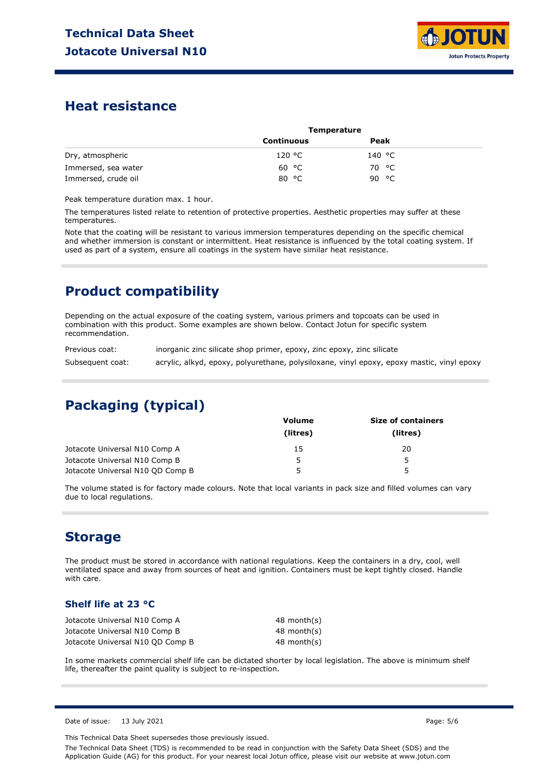

### **Heat resistance**

|                     | <b>Temperature</b> |        |  |
|---------------------|--------------------|--------|--|
|                     | Continuous         | Peak   |  |
| Dry, atmospheric    | 120 °C             | 140 °C |  |
| Immersed, sea water | 60 °C              | 70 °C  |  |
| Immersed, crude oil | 80 °C              | 90 °C  |  |

Peak temperature duration max. 1 hour.

The temperatures listed relate to retention of protective properties. Aesthetic properties may suffer at these temperatures.

Note that the coating will be resistant to various immersion temperatures depending on the specific chemical and whether immersion is constant or intermittent. Heat resistance is influenced by the total coating system. If used as part of a system, ensure all coatings in the system have similar heat resistance.

# **Product compatibility**

Depending on the actual exposure of the coating system, various primers and topcoats can be used in combination with this product. Some examples are shown below. Contact Jotun for specific system recommendation.

| Previous coat:   | inorganic zinc silicate shop primer, epoxy, zinc epoxy, zinc silicate                     |
|------------------|-------------------------------------------------------------------------------------------|
| Subsequent coat: | acrylic, alkyd, epoxy, polyurethane, polysiloxane, vinyl epoxy, epoxy mastic, vinyl epoxy |

# **Packaging (typical)**

|                                  | <b>Volume</b><br>(litres) | <b>Size of containers</b> |  |
|----------------------------------|---------------------------|---------------------------|--|
|                                  |                           | (litres)                  |  |
| Jotacote Universal N10 Comp A    | 15                        | 20                        |  |
| Jotacote Universal N10 Comp B    | ∽                         | 5.                        |  |
| Jotacote Universal N10 OD Comp B |                           | 5                         |  |

The volume stated is for factory made colours. Note that local variants in pack size and filled volumes can vary due to local regulations.

## **Storage**

The product must be stored in accordance with national regulations. Keep the containers in a dry, cool, well ventilated space and away from sources of heat and ignition. Containers must be kept tightly closed. Handle with care.

### **Shelf life at 23 °C**

| Jotacote Universal N10 Comp A    | 48 month(s) |
|----------------------------------|-------------|
| Jotacote Universal N10 Comp B    | 48 month(s) |
| Jotacote Universal N10 QD Comp B | 48 month(s) |

In some markets commercial shelf life can be dictated shorter by local legislation. The above is minimum shelf life, thereafter the paint quality is subject to re-inspection.

Date of issue: 13 July 2021 2021 2012 12:30 Page: 5/6

This Technical Data Sheet supersedes those previously issued.